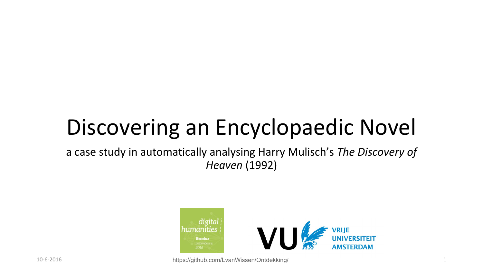# Discovering an Encyclopaedic Novel

a case study in automatically analysing Harry Mulisch's *The Discovery of Heaven* (1992)

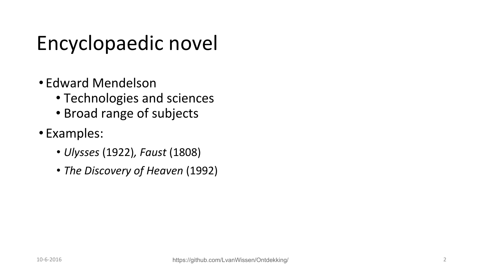### Encyclopaedic novel

- Edward Mendelson
	- Technologies and sciences
	- Broad range of subjects
- Examples:
	- *• Ulysses* (1922)*, Faust* (1808)
	- *• The Discovery of Heaven* (1992)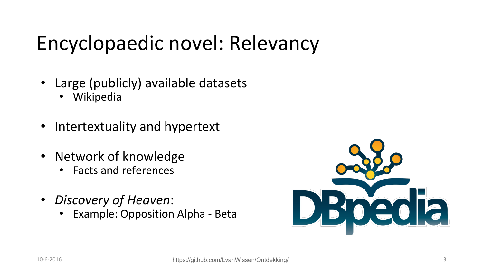### Encyclopaedic novel: Relevancy

- Large (publicly) available datasets
	- Wikipedia
- Intertextuality and hypertext
- Network of knowledge
	- Facts and references
- *Discovery of Heaven*:
	- Example: Opposition Alpha Beta

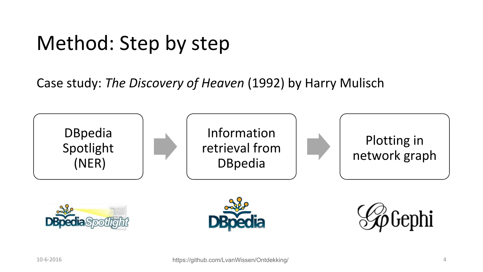### Method: Step by step

Case study: *The Discovery of Heaven* (1992) by Harry Mulisch

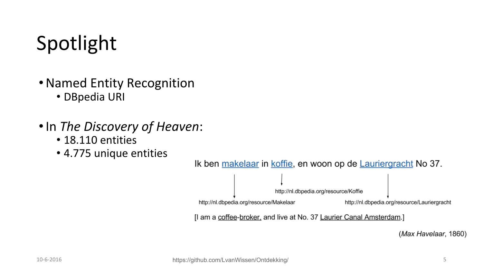# Spotlight

- •Named Entity Recognition • DBpedia URI
- •In *The Discovery of Heaven*:
	- 18.110 entities
	- 4.775 unique entities



Ik ben makelaar in koffie, en woon op de Lauriergracht No 37.

(Max Havelaar, 1860)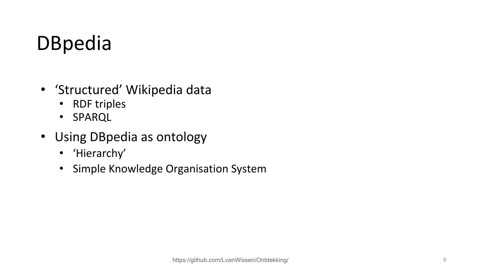# DBpedia

- 'Structured' Wikipedia data
	- RDF triples
	- SPARQL
- Using DBpedia as ontology
	- 'Hierarchy'
	- Simple Knowledge Organisation System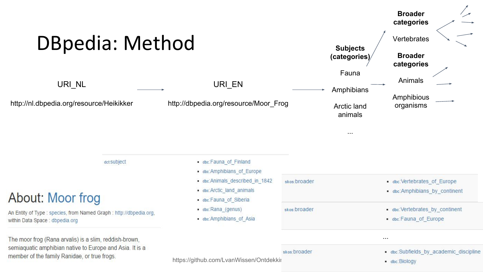| <b>DBpedia: Method</b>                                                                                                                                             |                                                                                                                                                                                                |              | <b>Subjects</b><br>(categories)    | <b>Broader</b><br>categories<br>Vertebrates<br><b>Broader</b><br>categories |
|--------------------------------------------------------------------------------------------------------------------------------------------------------------------|------------------------------------------------------------------------------------------------------------------------------------------------------------------------------------------------|--------------|------------------------------------|-----------------------------------------------------------------------------|
| URI_NL                                                                                                                                                             | URI_EN                                                                                                                                                                                         |              | Fauna<br>Amphibians                | Animals                                                                     |
| http://nl.dbpedia.org/resource/Heikikker                                                                                                                           | http://dbpedia.org/resource/Moor_Frog                                                                                                                                                          |              | <b>Arctic land</b><br>animals<br>. | Amphibious<br>organisms                                                     |
| dct:Subject                                                                                                                                                        | . dbc:Fauna of Finland<br>· dbc:Amphibians of Europe<br>dbc:Animals_described_in_1842<br>· dbc:Arctic_land_animals<br>· dbc:Fauna of Siberia<br>• dbc:Rana_(genus)<br>· dbc:Amphibians of Asia | skos:broader |                                    | dbc:Vertebrates_of_Europe<br>dbc:Amphibians by continent                    |
| About: Moor frog<br>An Entity of Type : species, from Named Graph : http://dbpedia.org,<br>within Data Space : dbpedia.org                                         |                                                                                                                                                                                                | skos:broader |                                    | dbc:Vertebrates_by_continent<br>· dbc:Fauna of Europe                       |
| The moor frog (Rana arvalis) is a slim, reddish-brown,<br>semiaquatic amphibian native to Europe and Asia. It is a<br>member of the family Ranidae, or true frogs. | https://github.com/LvanWissen/Ontdekkii                                                                                                                                                        | skos:broader |                                    | $\cdots$<br>dbc:Subfields by academic discipline<br>· dbc:Biology           |

◢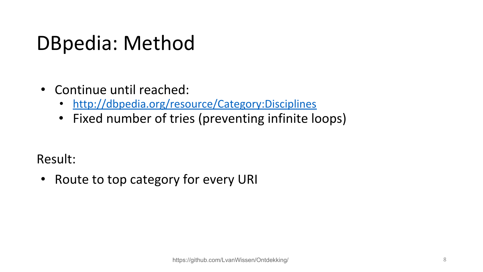#### DBpedia: Method

- Continue until reached:
	- <http://dbpedia.org/resource/Category:Disciplines>
	- Fixed number of tries (preventing infinite loops)

Result:

• Route to top category for every URI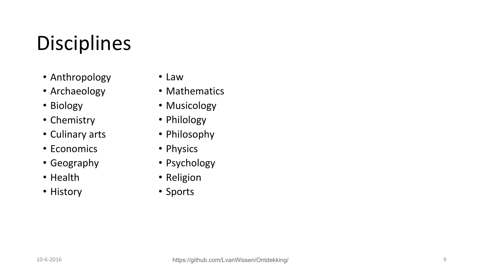# Disciplines

- Anthropology
- Archaeology
- Biology
- Chemistry
- Culinary arts
- Economics
- Geography
- Health
- History
- Law
- Mathematics
- Musicology
- Philology
- Philosophy
- Physics
- Psychology
- Religion
- Sports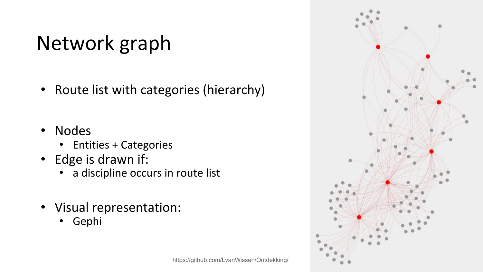# Network graph

- Route list with categories (hierarchy)
- Nodes
	- Entities + Categories
- Edge is drawn if:
	- a discipline occurs in route list
- Visual representation:
	- Gephi



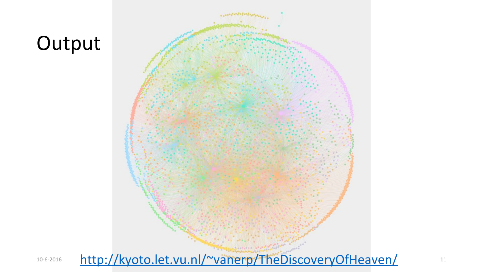#### **Output**